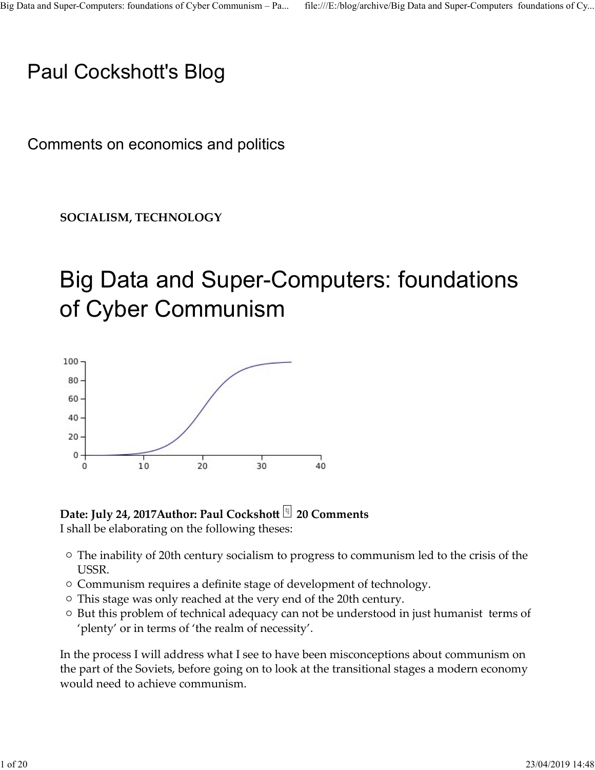# Paul Cockshott's Blog

Comments on economics and politics

SOCIALISM, TECHNOLOGY

# Big Data and Super-Computers: foundations of Cyber Communism





I shall be elaborating on the following theses:

- The inability of 20th century socialism to progress to communism led to the crisis of the USSR.
- $\circ$  Communism requires a definite stage of development of technology.
- This stage was only reached at the very end of the 20th century.
- $\circ$  But this problem of technical adequacy can not be understood in just humanist terms of 'plenty' or in terms of 'the realm of necessity'.

In the process I will address what I see to have been misconceptions about communism on the part of the Soviets, before going on to look at the transitional stages a modern economy would need to achieve communism. **Date: July 24, 2017Author: Paul Cockshoft**  $□$  **20 Comments**<br>
I shall be elaborating on the following theses:<br>  $\circ$  The inability of 20th century socialism to progress to communism led to the crisis of the<br>
USSR.<br>  $\circ$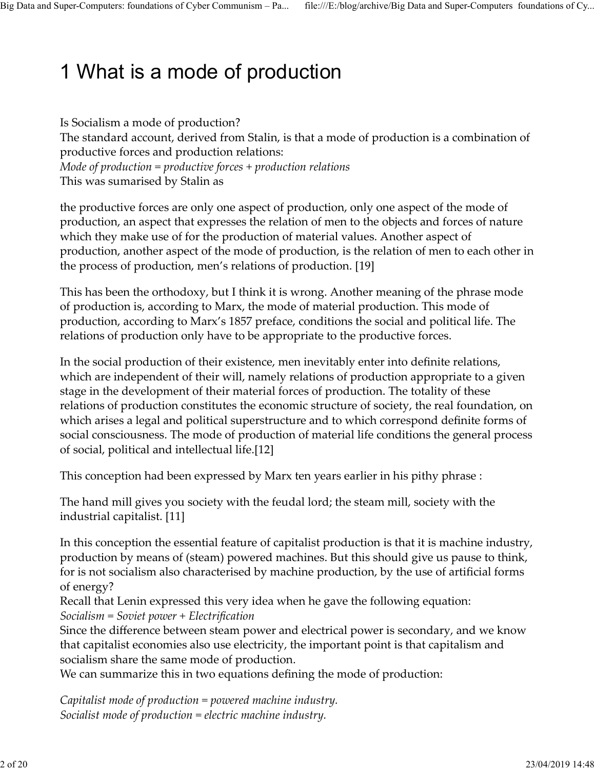# 1 What is a mode of production Big Data and Super-Computers: foundations of Cyber Communism – Pa... file:///E:/blog/archive/Big Data and Super-Computers foundations of Cy...<br> **1 \A/bot** io o modo of production

Is Socialism a mode of production? The standard account, derived from Stalin, is that a mode of production is a combination of productive forces and production relations: Mode of production  $=$  productive forces  $+$  production relations This was sumarised by Stalin as

the productive forces are only one aspect of production, only one aspect of the mode of production, an aspect that expresses the relation of men to the objects and forces of nature which they make use of for the production of material values. Another aspect of production, another aspect of the mode of production, is the relation of men to each other in the process of production, men's relations of production. [19]

This has been the orthodoxy, but I think it is wrong. Another meaning of the phrase mode of production is, according to Marx, the mode of material production. This mode of production, according to Marx's 1857 preface, conditions the social and political life. The relations of production only have to be appropriate to the productive forces.

In the social production of their existence, men inevitably enter into definite relations, which are independent of their will, namely relations of production appropriate to a given stage in the development of their material forces of production. The totality of these relations of production constitutes the economic structure of society, the real foundation, on which arises a legal and political superstructure and to which correspond definite forms of social consciousness. The mode of production of material life conditions the general process of social, political and intellectual life.[12]

This conception had been expressed by Marx ten years earlier in his pithy phrase :

The hand mill gives you society with the feudal lord; the steam mill, society with the industrial capitalist. [11]

In this conception the essential feature of capitalist production is that it is machine industry, production by means of (steam) powered machines. But this should give us pause to think, for is not socialism also characterised by machine production, by the use of artificial forms of energy? industrial capitalist. [11]<br>
In this conception the essential feature of capitalist production is that it is machine industry,<br>
production by means of (steam) powered machines. But this should give us pause to think,<br>
for

Recall that Lenin expressed this very idea when he gave the following equation: Socialism = Soviet power + Electrification

Since the difference between steam power and electrical power is secondary, and we know that capitalist economies also use electricity, the important point is that capitalism and socialism share the same mode of production.

We can summarize this in two equations defining the mode of production:

Capitalist mode of production = powered machine industry. Socialist mode of production = electric machine industry.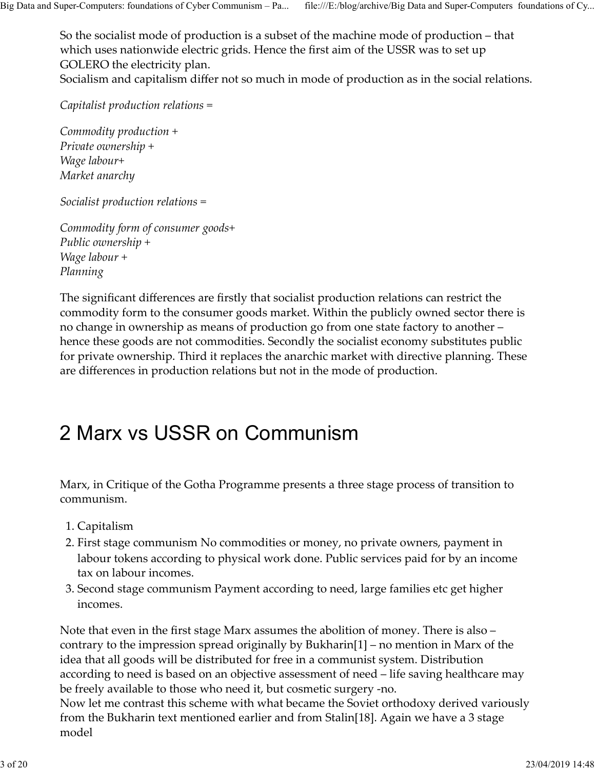So the socialist mode of production is a subset of the machine mode of production – that which uses nationwide electric grids. Hence the first aim of the USSR was to set up GOLERO the electricity plan. Socialism and capitalism differ not so much in mode of production as in the social relations. Big Data and Super-Computers: foundations of Cyber Communism – Pa... file:///E:/blog/archive/Big Data and Super-Computers foundations of Cy...<br>So the socialist mode of production is a subset of the machine mode of producti

Capitalist production relations =

Commodity production + Private ownership + Wage labour+ Market anarchy

Socialist production relations =

Commodity form of consumer goods+ Public ownership + Wage labour + Planning

The significant differences are firstly that socialist production relations can restrict the commodity form to the consumer goods market. Within the publicly owned sector there is no change in ownership as means of production go from one state factory to another – hence these goods are not commodities. Secondly the socialist economy substitutes public for private ownership. Third it replaces the anarchic market with directive planning. These are differences in production relations but not in the mode of production.

# 2 Marx vs USSR on Communism

Marx, in Critique of the Gotha Programme presents a three stage process of transition to communism.

- 1. Capitalism
- First stage communism No commodities or money, no private owners, payment in 2. labour tokens according to physical work done. Public services paid for by an income tax on labour incomes.
- Second stage communism Payment according to need, large families etc get higher 3. incomes.

Note that even in the first stage Marx assumes the abolition of money. There is also – contrary to the impression spread originally by Bukharin[1] – no mention in Marx of the idea that all goods will be distributed for free in a communist system. Distribution according to need is based on an objective assessment of need – life saving healthcare may be freely available to those who need it, but cosmetic surgery -no. 1. Capitalism<br>
2. First stage communism No commodities or money, no private owners, payment in<br>
labour tokens according to physical work done. Public services paid for by an income<br>
tax on labour incomes.<br>
3. Second stage

Now let me contrast this scheme with what became the Soviet orthodoxy derived variously from the Bukharin text mentioned earlier and from Stalin[18]. Again we have a 3 stage model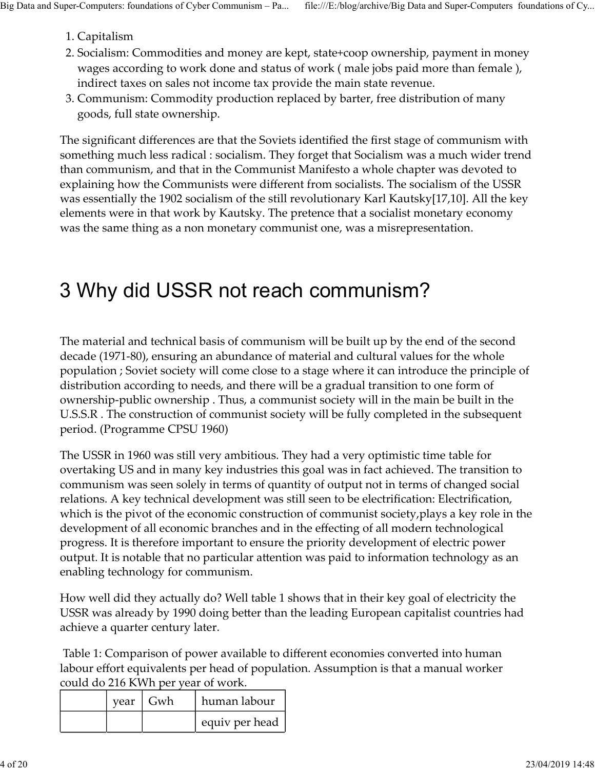- 1. Capitalism
- 2. Socialism: Commodities and money are kept, state+coop ownership, payment in money wages according to work done and status of work ( male jobs paid more than female ), indirect taxes on sales not income tax provide the main state revenue. Big Data and Super-Computers: foundations of Cyber Communism – Pa... file:///E:/blog/archive/Big Data and Super-Computers foundations of Cy...<br>1. Capitalism<br>2. Socialism: Commodities and money are kept, state+coop ownershi
	- 3. Communism: Commodity production replaced by barter, free distribution of many goods, full state ownership.

The significant differences are that the Soviets identified the first stage of communism with something much less radical : socialism. They forget that Socialism was a much wider trend than communism, and that in the Communist Manifesto a whole chapter was devoted to explaining how the Communists were different from socialists. The socialism of the USSR was essentially the 1902 socialism of the still revolutionary Karl Kautsky[17,10]. All the key elements were in that work by Kautsky. The pretence that a socialist monetary economy was the same thing as a non monetary communist one, was a misrepresentation.

# 3 Why did USSR not reach communism?

The material and technical basis of communism will be built up by the end of the second decade (1971-80), ensuring an abundance of material and cultural values for the whole population ; Soviet society will come close to a stage where it can introduce the principle of distribution according to needs, and there will be a gradual transition to one form of ownership-public ownership . Thus, a communist society will in the main be built in the U.S.S.R . The construction of communist society will be fully completed in the subsequent period. (Programme CPSU 1960)

The USSR in 1960 was still very ambitious. They had a very optimistic time table for overtaking US and in many key industries this goal was in fact achieved. The transition to communism was seen solely in terms of quantity of output not in terms of changed social relations. A key technical development was still seen to be electrification: Electrification, which is the pivot of the economic construction of communist society,plays a key role in the development of all economic branches and in the effecting of all modern technological progress. It is therefore important to ensure the priority development of electric power output. It is notable that no particular attention was paid to information technology as an enabling technology for communism. The Now was sure very annoused. They need at very of pumison the take to the US of US and in many key industries this goal was in fact achieved. The transition to m was seen solely in terms of quantity of output not in ter which is the pivot of the economic construction of communist society, plays a key role in the development of all conomic branches and in the effecting of all modern technological<br>progress. It is therefore important to ensu

How well did they actually do? Well table 1 shows that in their key goal of electricity the USSR was already by 1990 doing better than the leading European capitalist countries had achieve a quarter century later.

 Table 1: Comparison of power available to different economies converted into human labour effort equivalents per head of population. Assumption is that a manual worker could do 216 KWh per year of work.

| vear | Gwh | human labour   |
|------|-----|----------------|
|      |     | equiv per head |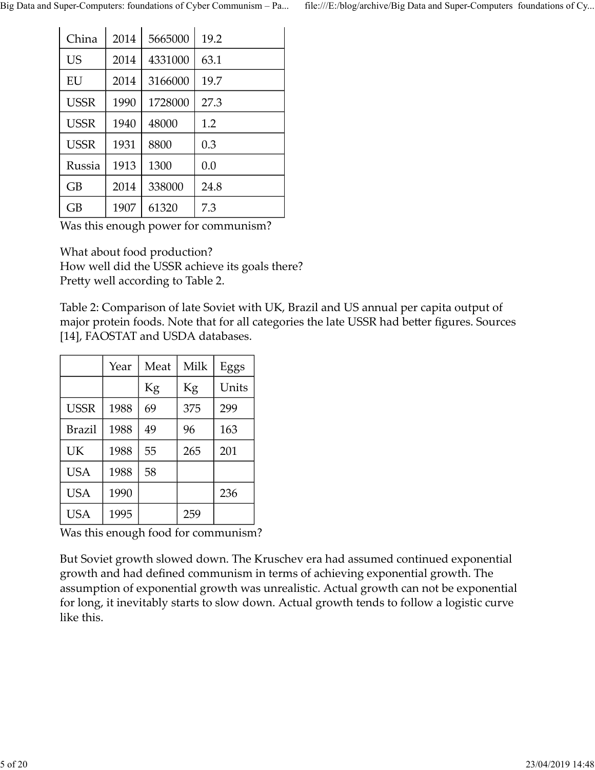|             |      |         | Big Data and Super-Computers: foundations of Cyber Communism - Pa | file:///E:/blog/archive/Big Data and Super-Computers foundations of Cy |  |
|-------------|------|---------|-------------------------------------------------------------------|------------------------------------------------------------------------|--|
|             |      |         |                                                                   |                                                                        |  |
|             |      |         |                                                                   |                                                                        |  |
| China       | 2014 | 5665000 | 19.2                                                              |                                                                        |  |
| <b>US</b>   | 2014 | 4331000 | 63.1                                                              |                                                                        |  |
| EU          | 2014 | 3166000 | 19.7                                                              |                                                                        |  |
| <b>USSR</b> | 1990 | 1728000 | 27.3                                                              |                                                                        |  |
| <b>USSR</b> | 1940 | 48000   | 1.2                                                               |                                                                        |  |
| <b>USSR</b> | 1931 | 8800    | 0.3                                                               |                                                                        |  |
| Russia      | 1913 | 1300    | 0.0                                                               |                                                                        |  |
| GB          | 2014 | 338000  | 24.8                                                              |                                                                        |  |
| GB          | 1907 | 61320   | 7.3                                                               |                                                                        |  |

Table 2: Comparison of late Soviet with UK, Brazil and US annual per capita output of major protein foods. Note that for all categories the late USSR had better figures. Sources [14], FAOSTAT and USDA databases. Year Meat Milk Eggs 8800 0.3<br>
1300 0.0<br>
338000 24.8<br>
61320 7.3<br>
power for communism?<br>
I production?<br>
Le USSR achieve its goals there?<br>
ding to Table 2.<br>
ison of late Soviet with UK, Brazil and US annual per capita output of<br>
ods. Note that f

| <b>Kussia</b>                                                                                                                                                                                                             | 1913 | <b>1300</b> | U.U  |       |
|---------------------------------------------------------------------------------------------------------------------------------------------------------------------------------------------------------------------------|------|-------------|------|-------|
| GB                                                                                                                                                                                                                        | 2014 | 338000      | 24.8 |       |
| GB                                                                                                                                                                                                                        | 1907 | 61320       | 7.3  |       |
| Was this enough power for communism?                                                                                                                                                                                      |      |             |      |       |
| What about food production?                                                                                                                                                                                               |      |             |      |       |
| How well did the USSR achieve its goals there?                                                                                                                                                                            |      |             |      |       |
| Pretty well according to Table 2.                                                                                                                                                                                         |      |             |      |       |
| Table 2: Comparison of late Soviet with UK, Brazil and US annual per capita output of<br>major protein foods. Note that for all categories the late USSR had better figures. Sources<br>[14], FAOSTAT and USDA databases. |      |             |      |       |
|                                                                                                                                                                                                                           | Year | Meat        | Milk | Eggs  |
|                                                                                                                                                                                                                           |      | Kg          | Kg   | Units |
| <b>USSR</b>                                                                                                                                                                                                               | 1988 | 69          | 375  | 299   |
| <b>Brazil</b>                                                                                                                                                                                                             | 1988 | 49          | 96   | 163   |
| UK                                                                                                                                                                                                                        | 1988 | 55          | 265  | 201   |
| <b>USA</b>                                                                                                                                                                                                                | 1988 | 58          |      |       |
| <b>USA</b>                                                                                                                                                                                                                | 1990 |             |      | 236   |
| <b>USA</b>                                                                                                                                                                                                                | 1995 |             | 259  |       |
| Was this enough food for communism?                                                                                                                                                                                       |      |             |      |       |
| But Soviet growth slowed down. The Kruschev era had assumed continued exponential                                                                                                                                         |      |             |      |       |
| growth and had defined communism in terms of achieving exponential growth. The                                                                                                                                            |      |             |      |       |
| examplion of exponential grouth was unrealistic. A stual growth can not be exponential                                                                                                                                    |      |             |      |       |

But Soviet growth slowed down. The Kruschev era had assumed continued exponential growth and had defined communism in terms of achieving exponential growth. The assumption of exponential growth was unrealistic. Actual growth can not be exponential for long, it inevitably starts to slow down. Actual growth tends to follow a logistic curve like this.  $\begin{array}{|l|l|} \hline \text{USA} & 1995 & 259 & \\ \hline \text{Was this enough food for community:} \\ \hline \end{array}$  But Soviet growth slowed down. The Kruschev era had assumed continued exponential growth. The growth and had defined communism in terms of achieving exponential gr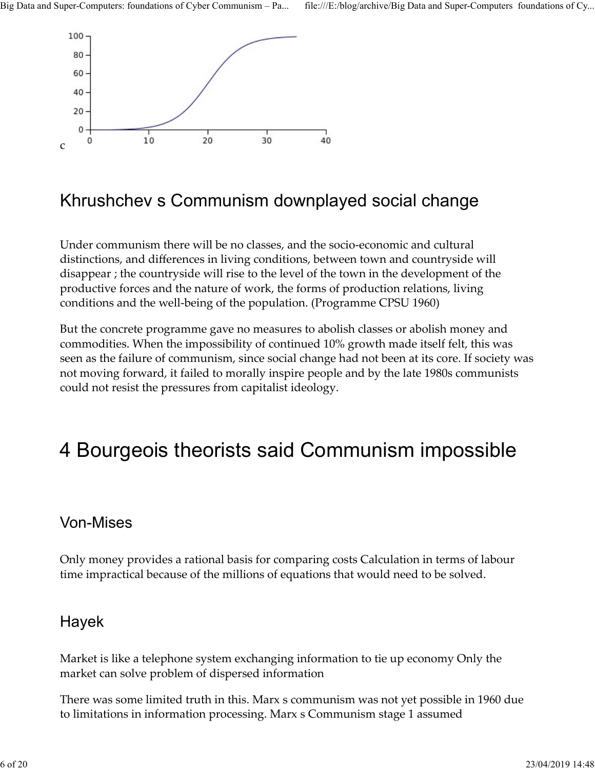

### Khrushchev s Communism downplayed social change

Under communism there will be no classes, and the socio-economic and cultural distinctions, and differences in living conditions, between town and countryside will disappear ; the countryside will rise to the level of the town in the development of the productive forces and the nature of work, the forms of production relations, living conditions and the well-being of the population. (Programme CPSU 1960)

But the concrete programme gave no measures to abolish classes or abolish money and commodities. When the impossibility of continued 10% growth made itself felt, this was seen as the failure of communism, since social change had not been at its core. If society was not moving forward, it failed to morally inspire people and by the late 1980s communists could not resist the pressures from capitalist ideology.

# 4 Bourgeois theorists said Communism impossible

#### Von-Mises

Only money provides a rational basis for comparing costs Calculation in terms of labour time impractical because of the millions of equations that would need to be solved. Von-Mises<br>
Only money provides a rational basis for comparing costs Calculation in terms of labour<br>
time impractical because of the millions of equations that would need to be solved.<br>
Hayek<br>
Market is like a telephone sys

#### Hayek

Market is like a telephone system exchanging information to tie up economy Only the market can solve problem of dispersed information

There was some limited truth in this. Marx s communism was not yet possible in 1960 due to limitations in information processing. Marx s Communism stage 1 assumed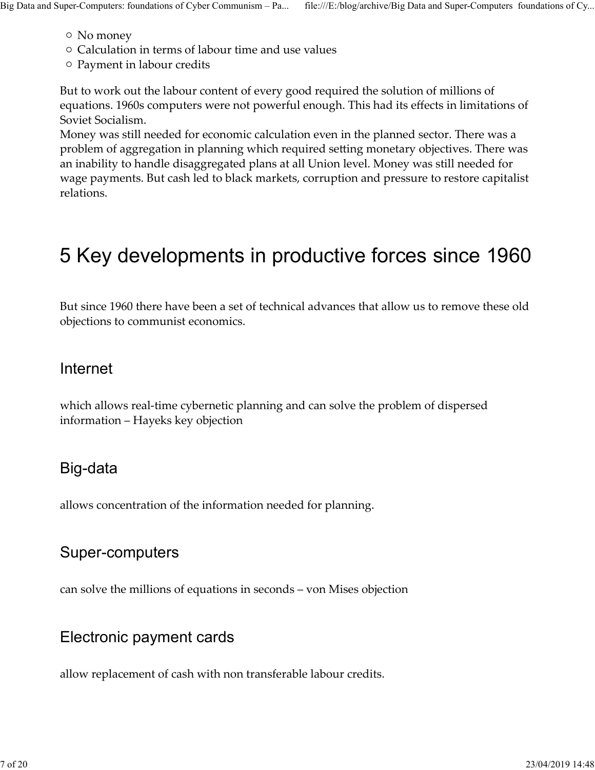- No money
- $\circ$  Calculation in terms of labour time and use values Big Data and Super-Computers: foundations of Cyber Communism – Pa... file:///E:/blog/archive/Big Data and Super-Computers foundations of Cy...<br>
O No money<br>
O Calculation in terms of labour time and use values<br>
O Payment in
	- $\circ$  Payment in labour credits

But to work out the labour content of every good required the solution of millions of equations. 1960s computers were not powerful enough. This had its effects in limitations of Soviet Socialism.

Money was still needed for economic calculation even in the planned sector. There was a problem of aggregation in planning which required setting monetary objectives. There was an inability to handle disaggregated plans at all Union level. Money was still needed for wage payments. But cash led to black markets, corruption and pressure to restore capitalist relations.

# 5 Key developments in productive forces since 1960

But since 1960 there have been a set of technical advances that allow us to remove these old objections to communist economics.

#### Internet

which allows real-time cybernetic planning and can solve the problem of dispersed information – Hayeks key objection

#### Big-data

allows concentration of the information needed for planning.

#### Super-computers

can solve the millions of equations in seconds – von Mises objection Super-computers<br>
can solve the millions of equations in seconds – von Mises objection<br>
Electronic payment cards<br>
allow replacement of cash with non transferable labour credits.<br>
7 of 20<br>
23/04/2019 14:48

#### Electronic payment cards

allow replacement of cash with non transferable labour credits.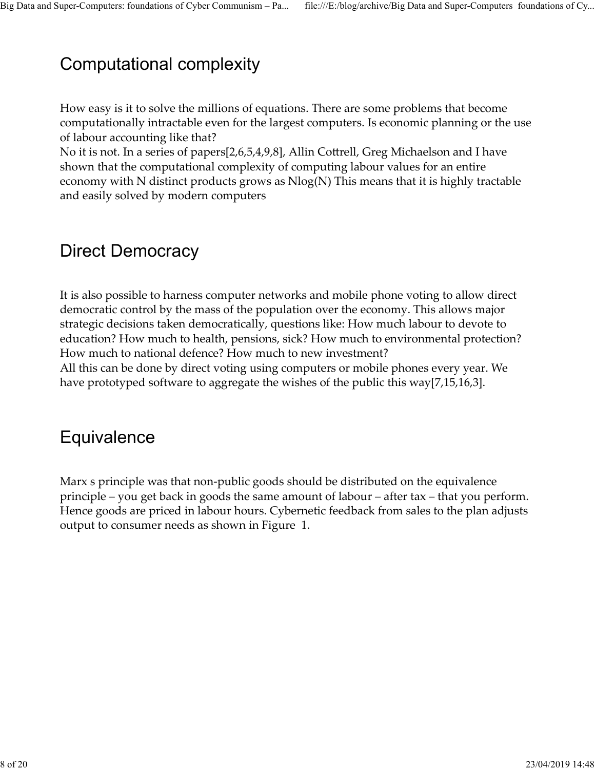# Computational complexity Big Data and Super-Computers: foundations of Cyber Communism – Pa... file:///E:/blog/archive/Big Data and Super-Computers foundations of Cy...<br>Computational complexity

How easy is it to solve the millions of equations. There are some problems that become computationally intractable even for the largest computers. Is economic planning or the use of labour accounting like that?

No it is not. In a series of papers[2,6,5,4,9,8], Allin Cottrell, Greg Michaelson and I have shown that the computational complexity of computing labour values for an entire economy with N distinct products grows as Nlog(N) This means that it is highly tractable and easily solved by modern computers

### Direct Democracy

It is also possible to harness computer networks and mobile phone voting to allow direct democratic control by the mass of the population over the economy. This allows major strategic decisions taken democratically, questions like: How much labour to devote to education? How much to health, pensions, sick? How much to environmental protection? How much to national defence? How much to new investment? All this can be done by direct voting using computers or mobile phones every year. We have prototyped software to aggregate the wishes of the public this way[7,15,16,3].

### **Equivalence**

Marx s principle was that non-public goods should be distributed on the equivalence principle – you get back in goods the same amount of labour – after tax – that you perform. Hence goods are priced in labour hours. Cybernetic feedback from sales to the plan adjusts output to consumer needs as shown in Figure 1. Frence goods are proced in fabour nours. Cybernetic reedback from sales to the plan adjusts<br>output to consumer needs as shown in Figure 1.<br> $8 \text{ of } 20$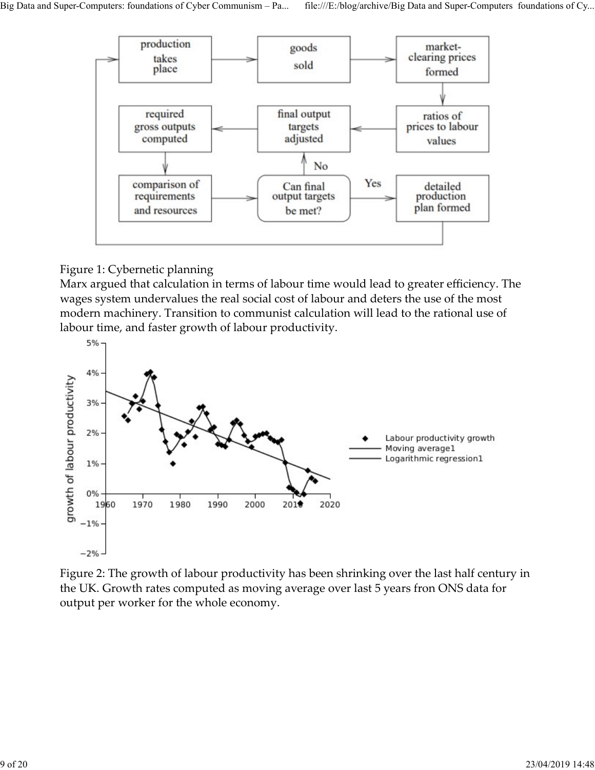

#### Figure 1: Cybernetic planning

Marx argued that calculation in terms of labour time would lead to greater efficiency. The wages system undervalues the real social cost of labour and deters the use of the most modern machinery. Transition to communist calculation will lead to the rational use of labour time, and faster growth of labour productivity.



Figure 2: The growth of labour productivity has been shrinking over the last half century in the UK. Growth rates computed as moving average over last 5 years fron ONS data for output per worker for the whole economy.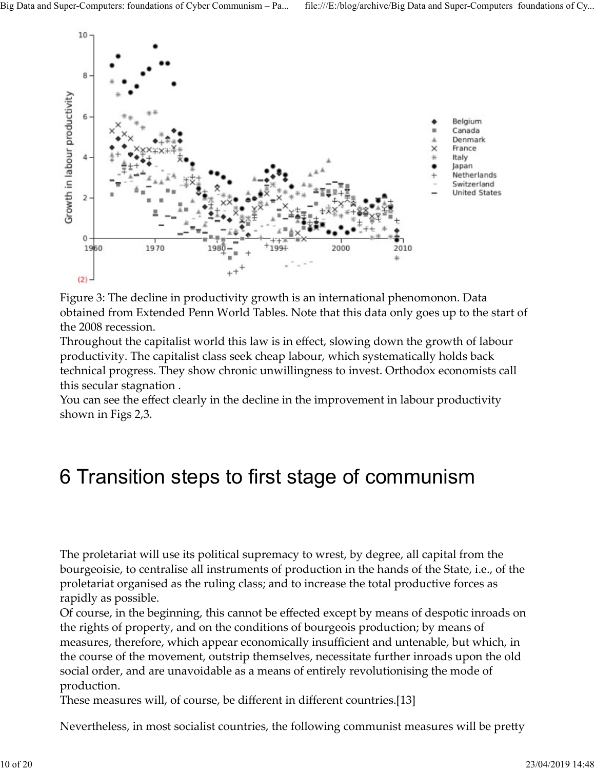

Figure 3: The decline in productivity growth is an international phenomonon. Data obtained from Extended Penn World Tables. Note that this data only goes up to the start of the 2008 recession.

Throughout the capitalist world this law is in effect, slowing down the growth of labour productivity. The capitalist class seek cheap labour, which systematically holds back technical progress. They show chronic unwillingness to invest. Orthodox economists call this secular stagnation .

You can see the effect clearly in the decline in the improvement in labour productivity shown in Figs 2,3.

# 6 Transition steps to first stage of communism

The proletariat will use its political supremacy to wrest, by degree, all capital from the bourgeoisie, to centralise all instruments of production in the hands of the State, i.e., of the proletariat organised as the ruling class; and to increase the total productive forces as rapidly as possible.

Of course, in the beginning, this cannot be effected except by means of despotic inroads on the rights of property, and on the conditions of bourgeois production; by means of measures, therefore, which appear economically insufficient and untenable, but which, in the course of the movement, outstrip themselves, necessitate further inroads upon the old social order, and are unavoidable as a means of entirely revolutionising the mode of production. The proletariat will use its political supremacy to wrest, by degree, all capital from the bourgeoisie, to centralise all instruments of production in the hands of the State, i.e., of the proletariat organised as the rulin

These measures will, of course, be different in different countries.[13]

Nevertheless, in most socialist countries, the following communist measures will be pretty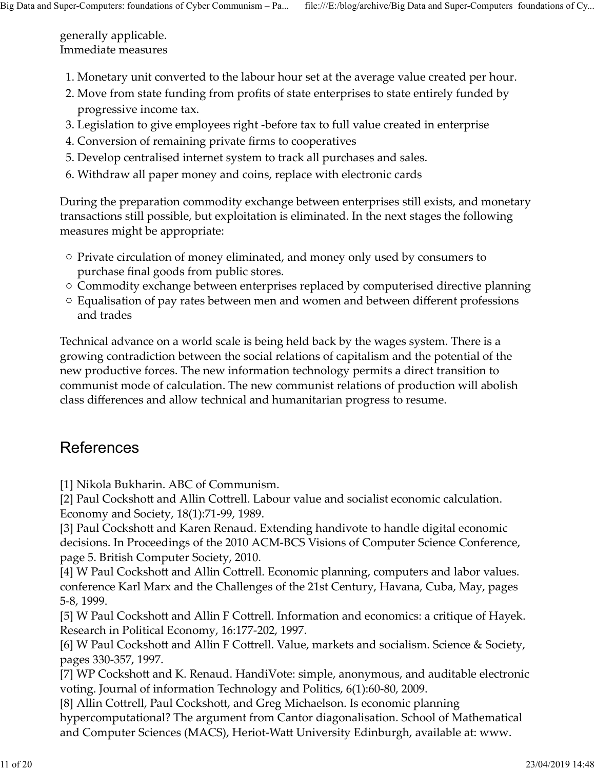generally applicable. Immediate measures Big Data and Super-Computers: foundations of Cyber Communism – Pa... file:///E:/blog/archive/Big Data and Super-Computers foundations of Cy...<br>generally applicable.<br>Immediate measures

- 1. Monetary unit converted to the labour hour set at the average value created per hour.
- Move from state funding from profits of state enterprises to state entirely funded by 2. progressive income tax.
- 3. Legislation to give employees right -before tax to full value created in enterprise
- 4. Conversion of remaining private firms to cooperatives
- 5. Develop centralised internet system to track all purchases and sales.
- 6. Withdraw all paper money and coins, replace with electronic cards

During the preparation commodity exchange between enterprises still exists, and monetary transactions still possible, but exploitation is eliminated. In the next stages the following measures might be appropriate:

- $\circ$  Private circulation of money eliminated, and money only used by consumers to purchase final goods from public stores.
- $\circ$  Commodity exchange between enterprises replaced by computerised directive planning
- Equalisation of pay rates between men and women and between different professions and trades

Technical advance on a world scale is being held back by the wages system. There is a growing contradiction between the social relations of capitalism and the potential of the new productive forces. The new information technology permits a direct transition to communist mode of calculation. The new communist relations of production will abolish class differences and allow technical and humanitarian progress to resume.

#### References

[1] Nikola Bukharin. ABC of Communism.

[2] Paul Cockshott and Allin Cottrell. Labour value and socialist economic calculation. Economy and Society, 18(1):71-99, 1989.

[3] Paul Cockshott and Karen Renaud. Extending handivote to handle digital economic decisions. In Proceedings of the 2010 ACM-BCS Visions of Computer Science Conference, page 5. British Computer Society, 2010. Economy and Society, 18(1):71-99, 1989.<br>
[3] Paul Cockshott and Karen Renaud. Extending handivote to handle digital economic<br>
decisions. In Proceedings of the 2010 ACM-BCS Visions of Computer Science Conference,<br>
page 5. B

[4] W Paul Cockshott and Allin Cottrell. Economic planning, computers and labor values. conference Karl Marx and the Challenges of the 21st Century, Havana, Cuba, May, pages 5-8, 1999.

[5] W Paul Cockshott and Allin F Cottrell. Information and economics: a critique of Hayek. Research in Political Economy, 16:177-202, 1997.

[6] W Paul Cockshott and Allin F Cottrell. Value, markets and socialism. Science & Society, pages 330-357, 1997.

[7] WP Cockshott and K. Renaud. HandiVote: simple, anonymous, and auditable electronic voting. Journal of information Technology and Politics, 6(1):60-80, 2009.

[8] Allin Cottrell, Paul Cockshott, and Greg Michaelson. Is economic planning hypercomputational? The argument from Cantor diagonalisation. School of Mathematical and Computer Sciences (MACS), Heriot-Watt University Edinburgh, available at: www.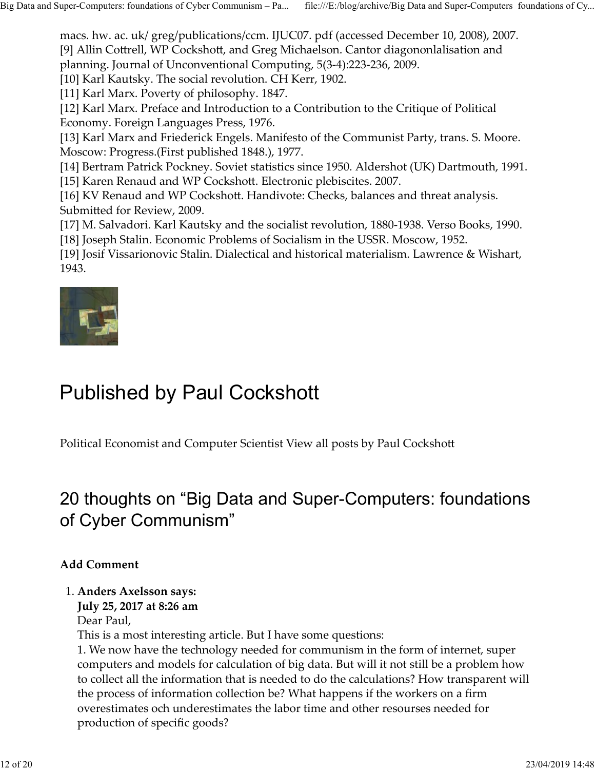macs. hw. ac. uk/ greg/publications/ccm. IJUC07. pdf (accessed December 10, 2008), 2007. [9] Allin Cottrell, WP Cockshott, and Greg Michaelson. Cantor diagononlalisation and planning. Journal of Unconventional Computing, 5(3-4):223-236, 2009. Big Data and Super-Computers: foundations of Cyber Communism – Pa... file:///E:/blog/archive/Big Data and Super-Computers foundations of Cy...<br>macs. hw. ac. uk/ greg/publications/ccm. IJUC07. pdf (accessed December 10, 200

[10] Karl Kautsky. The social revolution. CH Kerr, 1902.

[11] Karl Marx. Poverty of philosophy. 1847.

[12] Karl Marx. Preface and Introduction to a Contribution to the Critique of Political Economy. Foreign Languages Press, 1976.

[13] Karl Marx and Friederick Engels. Manifesto of the Communist Party, trans. S. Moore. Moscow: Progress.(First published 1848.), 1977.

[14] Bertram Patrick Pockney. Soviet statistics since 1950. Aldershot (UK) Dartmouth, 1991.

[15] Karen Renaud and WP Cockshott. Electronic plebiscites. 2007.

[16] KV Renaud and WP Cockshott. Handivote: Checks, balances and threat analysis. Submitted for Review, 2009.

[17] M. Salvadori. Karl Kautsky and the socialist revolution, 1880-1938. Verso Books, 1990. [18] Joseph Stalin. Economic Problems of Socialism in the USSR. Moscow, 1952.

[19] Josif Vissarionovic Stalin. Dialectical and historical materialism. Lawrence & Wishart, 1943.



# Published by Paul Cockshott

Political Economist and Computer Scientist View all posts by Paul Cockshott

# 20 thoughts on "Big Data and Super-Computers: foundations of Cyber Communism" **ublished by Paul Cockshott**<br>
itical Economist and Computer Scientist View all posts by Paul Cockshott<br> **thoughts on "Big Data and Super-Computers: found:**<br> **Cyber Communism"**<br> **d Comment**<br> **Anders Axelsson says:**<br>
July 25

#### Add Comment

#### 1. Anders Axelsson says:

July 25, 2017 at 8:26 am

Dear Paul,

This is a most interesting article. But I have some questions:

1. We now have the technology needed for communism in the form of internet, super computers and models for calculation of big data. But will it not still be a problem how to collect all the information that is needed to do the calculations? How transparent will the process of information collection be? What happens if the workers on a firm overestimates och underestimates the labor time and other resourses needed for production of specific goods? of Cyber Communism"<br>
Add Comment<br>
1. Anders Axelsson says:<br>
July 25, 2017 at 8:26 am<br>
Dear Paul,<br>
This is a most interesting article. But I have some questions:<br>
1. We now have the technology needed for communism in the fo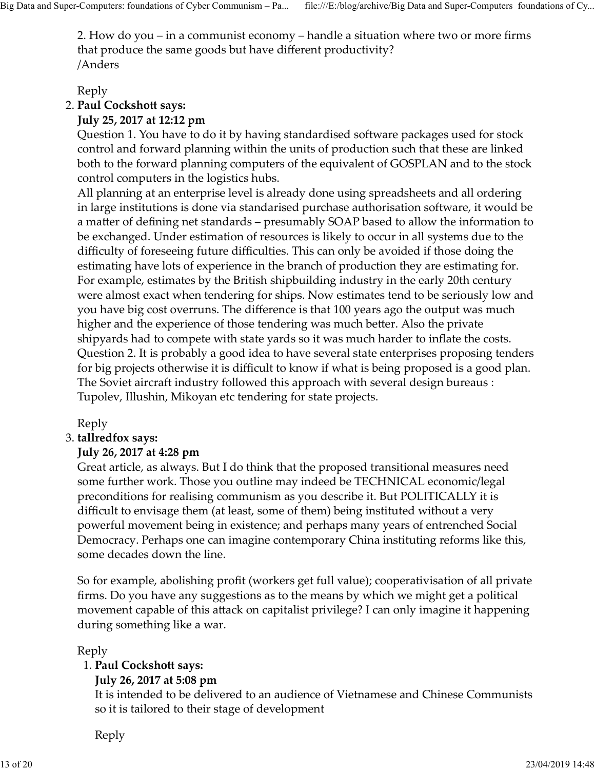2. How do you – in a communist economy – handle a situation where two or more firms that produce the same goods but have different productivity? /Anders Big Data and Super-Computers: foundations of Cyber Communism – Pa... file:///E:/blog/archive/Big Data and Super-Computers foundations of Cy...<br>2. How do you – in a communist economy – handle a situation where two or more f

Reply

2. Paul Cockshott says:

#### July 25, 2017 at 12:12 pm

Question 1. You have to do it by having standardised software packages used for stock control and forward planning within the units of production such that these are linked both to the forward planning computers of the equivalent of GOSPLAN and to the stock control computers in the logistics hubs.

All planning at an enterprise level is already done using spreadsheets and all ordering in large institutions is done via standarised purchase authorisation software, it would be a matter of defining net standards – presumably SOAP based to allow the information to be exchanged. Under estimation of resources is likely to occur in all systems due to the difficulty of foreseeing future difficulties. This can only be avoided if those doing the estimating have lots of experience in the branch of production they are estimating for. For example, estimates by the British shipbuilding industry in the early 20th century were almost exact when tendering for ships. Now estimates tend to be seriously low and you have big cost overruns. The difference is that 100 years ago the output was much higher and the experience of those tendering was much better. Also the private shipyards had to compete with state yards so it was much harder to inflate the costs. Question 2. It is probably a good idea to have several state enterprises proposing tenders for big projects otherwise it is difficult to know if what is being proposed is a good plan. The Soviet aircraft industry followed this approach with several design bureaus : Tupolev, Illushin, Mikoyan etc tendering for state projects. An paraling at alterative beer is alterated and the proposed since and an argo in the product and an argo include the action of the exchanged. Under estimation of resources is likely to occur in all system and a matter of

Reply

#### 3. tallredfox says:

#### July 26, 2017 at 4:28 pm

Great article, as always. But I do think that the proposed transitional measures need some further work. Those you outline may indeed be TECHNICAL economic/legal preconditions for realising communism as you describe it. But POLITICALLY it is difficult to envisage them (at least, some of them) being instituted without a very powerful movement being in existence; and perhaps many years of entrenched Social Democracy. Perhaps one can imagine contemporary China instituting reforms like this, some decades down the line.

So for example, abolishing profit (workers get full value); cooperativisation of all private firms. Do you have any suggestions as to the means by which we might get a political movement capable of this attack on capitalist privilege? I can only imagine it happening during something like a war. muncul to envisyage unit (a teast, some of their) pering institute windout a very<br>powerful movement being in existence; and perhaps many years of entrenched Social<br>Democracy. Perhaps one can imagine contemporary China inst

Reply

#### 1. Paul Cockshott says:

#### July 26, 2017 at 5:08 pm

It is intended to be delivered to an audience of Vietnamese and Chinese Communists so it is tailored to their stage of development

Reply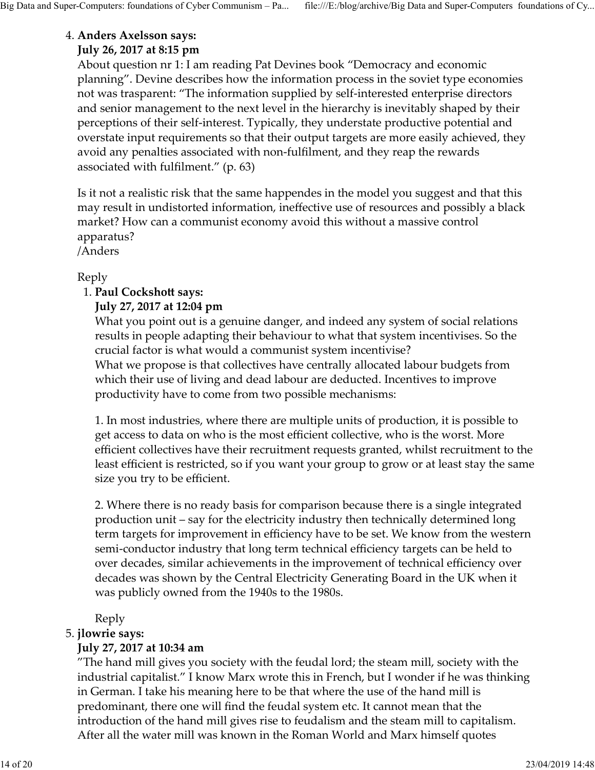#### Anders Axelsson says: 4.

#### July 26, 2017 at 8:15 pm

About question nr 1: I am reading Pat Devines book "Democracy and economic planning". Devine describes how the information process in the soviet type economies not was trasparent: "The information supplied by self-interested enterprise directors and senior management to the next level in the hierarchy is inevitably shaped by their perceptions of their self-interest. Typically, they understate productive potential and overstate input requirements so that their output targets are more easily achieved, they avoid any penalties associated with non-fulfilment, and they reap the rewards associated with fulfilment." (p. 63) Big Data and Super-Computers: foundations of Cyber Communism – Pa... file:///E:/blog/archive/Big Data and Super-Computers foundations of Cy...<br>4. **Anders Axelsson says:**<br>**July 26, 2017 at 8:15 pm**<br>About question nr 1: I am

> Is it not a realistic risk that the same happendes in the model you suggest and that this may result in undistorted information, ineffective use of resources and possibly a black market? How can a communist economy avoid this without a massive control apparatus?

/Anders

#### Reply

#### 1. Paul Cockshott says:

#### July 27, 2017 at 12:04 pm

What you point out is a genuine danger, and indeed any system of social relations results in people adapting their behaviour to what that system incentivises. So the crucial factor is what would a communist system incentivise?

What we propose is that collectives have centrally allocated labour budgets from which their use of living and dead labour are deducted. Incentives to improve productivity have to come from two possible mechanisms:

1. In most industries, where there are multiple units of production, it is possible to get access to data on who is the most efficient collective, who is the worst. More efficient collectives have their recruitment requests granted, whilst recruitment to the least efficient is restricted, so if you want your group to grow or at least stay the same size you try to be efficient.

2. Where there is no ready basis for comparison because there is a single integrated production unit – say for the electricity industry then technically determined long term targets for improvement in efficiency have to be set. We know from the western semi-conductor industry that long term technical efficiency targets can be held to over decades, similar achievements in the improvement of technical efficiency over decades was shown by the Central Electricity Generating Board in the UK when it was publicly owned from the 1940s to the 1980s. productivity have to come from two possible mechanisms:<br>
1. In most industries, where there are multiple units of production,<br>
get access to data on who is the most efficient collective, who is the<br>
efficient collectives h

Reply

#### 5. jlowrie says:

#### July 27, 2017 at 10:34 am

"The hand mill gives you society with the feudal lord; the steam mill, society with the industrial capitalist." I know Marx wrote this in French, but I wonder if he was thinking in German. I take his meaning here to be that where the use of the hand mill is predominant, there one will find the feudal system etc. It cannot mean that the introduction of the hand mill gives rise to feudalism and the steam mill to capitalism. After all the water mill was known in the Roman World and Marx himself quotes production unit – say for the electricity industry then technically determined long<br>term targets for improvement in efficiency have to be set. We know from the western<br>semi-conductor industry that long term technical effi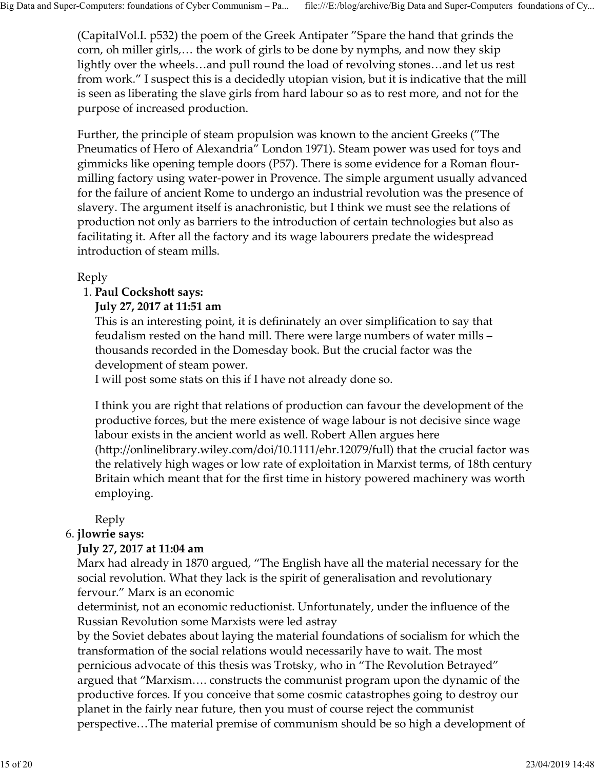(CapitalVol.I. p532) the poem of the Greek Antipater "Spare the hand that grinds the corn, oh miller girls,… the work of girls to be done by nymphs, and now they skip lightly over the wheels…and pull round the load of revolving stones…and let us rest from work." I suspect this is a decidedly utopian vision, but it is indicative that the mill is seen as liberating the slave girls from hard labour so as to rest more, and not for the purpose of increased production. Big Data and Super-Computers: foundations of Cyber Communism – Pa... file:///E:/blog/archive/Big Data and Super-Computers foundations of Cy...<br>(CapitalVol.I. p532) the poem of the Greek Antipater "Spare the hand that grind

> Further, the principle of steam propulsion was known to the ancient Greeks ("The Pneumatics of Hero of Alexandria" London 1971). Steam power was used for toys and gimmicks like opening temple doors (P57). There is some evidence for a Roman flourmilling factory using water-power in Provence. The simple argument usually advanced for the failure of ancient Rome to undergo an industrial revolution was the presence of slavery. The argument itself is anachronistic, but I think we must see the relations of production not only as barriers to the introduction of certain technologies but also as facilitating it. After all the factory and its wage labourers predate the widespread introduction of steam mills.

#### Reply

#### 1. Paul Cockshott says:

#### July 27, 2017 at 11:51 am

This is an interesting point, it is defininately an over simplification to say that feudalism rested on the hand mill. There were large numbers of water mills – thousands recorded in the Domesday book. But the crucial factor was the development of steam power.

I will post some stats on this if I have not already done so.

I think you are right that relations of production can favour the development of the productive forces, but the mere existence of wage labour is not decisive since wage labour exists in the ancient world as well. Robert Allen argues here  $(\text{http://onlinelibrary.wiley.com/doi/10.1111/ehr.12079/full})$  that the crucial factor was the relatively high wages or low rate of exploitation in Marxist terms, of 18th century Britain which meant that for the first time in history powered machinery was worth employing. 1. Paul Cockshott says:<br>
July 27, 2017 at 11:51 am<br>
This is an interesting point, it is defininately an over simplification<br>
This is an interesting point, it is defininately an over simplification<br>
feudalism rested on the

Reply

#### 6. *jlowrie says:*

#### July 27, 2017 at 11:04 am

Marx had already in 1870 argued, "The English have all the material necessary for the social revolution. What they lack is the spirit of generalisation and revolutionary fervour." Marx is an economic

determinist, not an economic reductionist. Unfortunately, under the influence of the Russian Revolution some Marxists were led astray

by the Soviet debates about laying the material foundations of socialism for which the transformation of the social relations would necessarily have to wait. The most pernicious advocate of this thesis was Trotsky, who in "The Revolution Betrayed" argued that "Marxism…. constructs the communist program upon the dynamic of the productive forces. If you conceive that some cosmic catastrophes going to destroy our planet in the fairly near future, then you must of course reject the communist perspective…The material premise of communism should be so high a development of Reply<br>
6. **jowie says:**<br> **15 Juvie 348:**<br> **15 Juvie 27, 2017 at 11:04 am**<br>
Marx had already in 1870 argued, "The English have all the material necessary for the<br>
social revolution. What they lack is the spirit of generali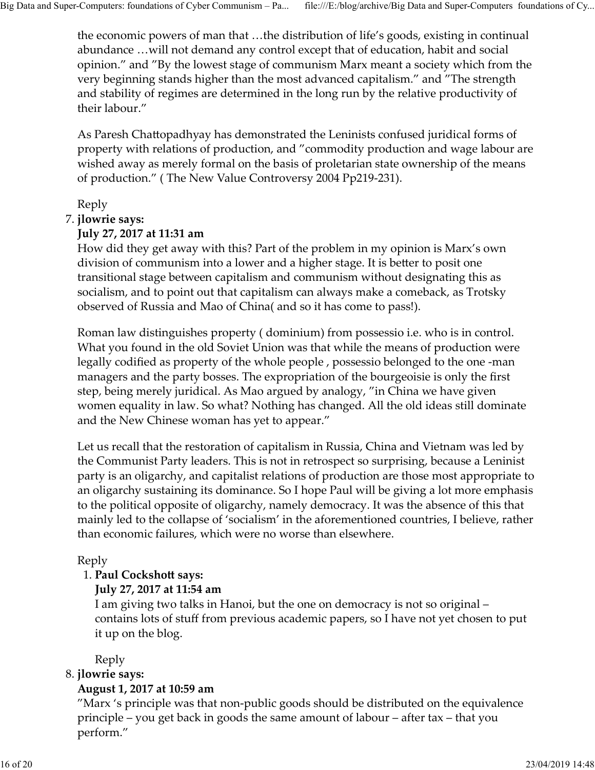the economic powers of man that …the distribution of life's goods, existing in continual abundance …will not demand any control except that of education, habit and social opinion." and "By the lowest stage of communism Marx meant a society which from the very beginning stands higher than the most advanced capitalism." and "The strength and stability of regimes are determined in the long run by the relative productivity of their labour." Computers: foundations of Cyber Communism – Pa...<br>
file:///E:/blog/archive/Big Data an<br>
the economic powers of man that ...the distribution of life's goods, ex<br>
abundance ...will not demand any control except that of educa Big Data and Super-Computers: foundations of Cyber Communism – Pa... file:///E:/blog/archive/Big Data and Super-Computers foundations of Cy...<br>the economic powers of man that ...the distribution of life's goods, existing i

As Paresh Chattopadhyay has demonstrated the Leninists confused juridical forms of property with relations of production, and "commodity production and wage labour are wished away as merely formal on the basis of proletarian state ownership of the means of production." ( The New Value Controversy 2004 Pp219-231).

Reply

#### 7. *jlowrie says:*

#### July 27, 2017 at 11:31 am

How did they get away with this? Part of the problem in my opinion is Marx's own division of communism into a lower and a higher stage. It is better to posit one transitional stage between capitalism and communism without designating this as socialism, and to point out that capitalism can always make a comeback, as Trotsky observed of Russia and Mao of China( and so it has come to pass!).

Roman law distinguishes property ( dominium) from possessio i.e. who is in control. What you found in the old Soviet Union was that while the means of production were legally codified as property of the whole people , possessio belonged to the one -man managers and the party bosses. The expropriation of the bourgeoisie is only the first step, being merely juridical. As Mao argued by analogy, "in China we have given women equality in law. So what? Nothing has changed. All the old ideas still dominate and the New Chinese woman has yet to appear."

Let us recall that the restoration of capitalism in Russia, China and Vietnam was led by the Communist Party leaders. This is not in retrospect so surprising, because a Leninist party is an oligarchy, and capitalist relations of production are those most appropriate to an oligarchy sustaining its dominance. So I hope Paul will be giving a lot more emphasis to the political opposite of oligarchy, namely democracy. It was the absence of this that mainly led to the collapse of 'socialism' in the aforementioned countries, I believe, rather than economic failures, which were no worse than elsewhere. Let us recall that the restoration of capitalism in Russia, China and Vie<br>the Communist Party leaders. This is not in retrospect so surprising, b<br>party is an oligarchy, and capitalist relations of production are those nan

#### Reply

#### 1. Paul Cockshott says:

#### July 27, 2017 at 11:54 am

I am giving two talks in Hanoi, but the one on democracy is not so original – contains lots of stuff from previous academic papers, so I have not yet chosen to put it up on the blog.

Reply

#### 8. *jlowrie says:*

#### August 1, 2017 at 10:59 am

"Marx 's principle was that non-public goods should be distributed on the equivalence principle – you get back in goods the same amount of labour – after tax – that you perform." mainly led to the collapse of 'socialism' in the aforementioned countries, I believe, rather<br>
than economic failures, which were no worse than elsewhere.<br>
Reply<br>
1. **Paul Cockshott says:**<br> **July 27, 2017 at 11:54 am**<br> **I**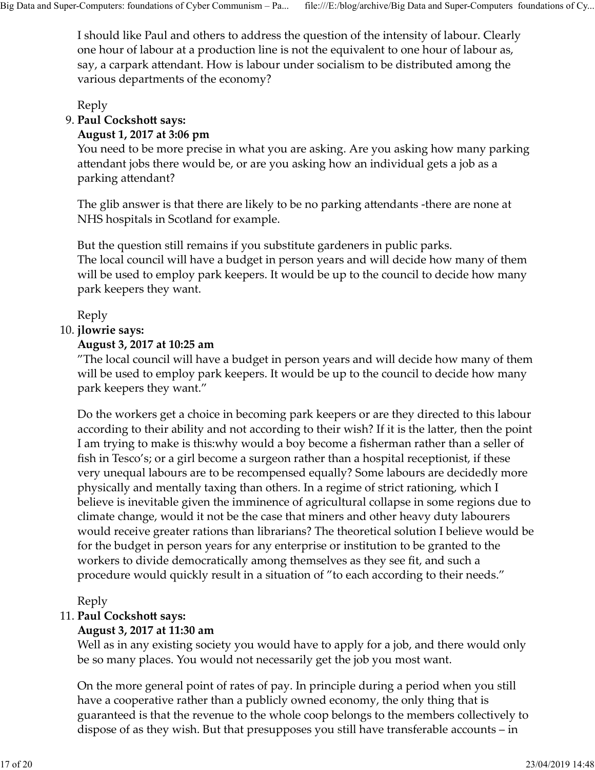I should like Paul and others to address the question of the intensity of labour. Clearly one hour of labour at a production line is not the equivalent to one hour of labour as, say, a carpark attendant. How is labour under socialism to be distributed among the various departments of the economy? Big Data and Super-Computers: foundations of Cyber Communism – Pa... file:///E:/blog/archive/Big Data and Super-Computers foundations of Cy...<br>I should like Paul and others to address the question of the intensity of labou

Reply

#### 9. Paul Cockshott says: **Accelerate Service Service Service**

#### August 1, 2017 at 3:06 pm

You need to be more precise in what you are asking. Are you asking how many parking attendant jobs there would be, or are you asking how an individual gets a job as a parking attendant?

The glib answer is that there are likely to be no parking attendants -there are none at NHS hospitals in Scotland for example.

But the question still remains if you substitute gardeners in public parks. The local council will have a budget in person years and will decide how many of them will be used to employ park keepers. It would be up to the council to decide how many park keepers they want. Reply<br> **Paul Cockshott says:**<br> **August 1, 2017 at 3:06 pm**<br>
You need to be more precise in what you are asking. Are you asking h<br>
The glib answer is that there are likely to be no parking attendants -the<br>
NHS hospitals in

Reply

#### 10. jlowrie says:

#### August 3, 2017 at 10:25 am

"The local council will have a budget in person years and will decide how many of them will be used to employ park keepers. It would be up to the council to decide how many park keepers they want."

Do the workers get a choice in becoming park keepers or are they directed to this labour according to their ability and not according to their wish? If it is the latter, then the point I am trying to make is this:why would a boy become a fisherman rather than a seller of fish in Tesco's; or a girl become a surgeon rather than a hospital receptionist, if these very unequal labours are to be recompensed equally? Some labours are decidedly more physically and mentally taxing than others. In a regime of strict rationing, which I believe is inevitable given the imminence of agricultural collapse in some regions due to climate change, would it not be the case that miners and other heavy duty labourers would receive greater rations than librarians? The theoretical solution I believe would be for the budget in person years for any enterprise or institution to be granted to the workers to divide democratically among themselves as they see fit, and such a procedure would quickly result in a situation of "to each according to their needs." climate change, would it not be the case that miners and other heavy duty labourers<br>would receive greater rations than librarians? The theoretical solution I believe would be<br>for the budget in person years for any enterpri

Reply

#### 11. Paul Cockshott says:

#### August 3, 2017 at 11:30 am

Well as in any existing society you would have to apply for a job, and there would only be so many places. You would not necessarily get the job you most want.

On the more general point of rates of pay. In principle during a period when you still have a cooperative rather than a publicly owned economy, the only thing that is guaranteed is that the revenue to the whole coop belongs to the members collectively to dispose of as they wish. But that presupposes you still have transferable accounts – in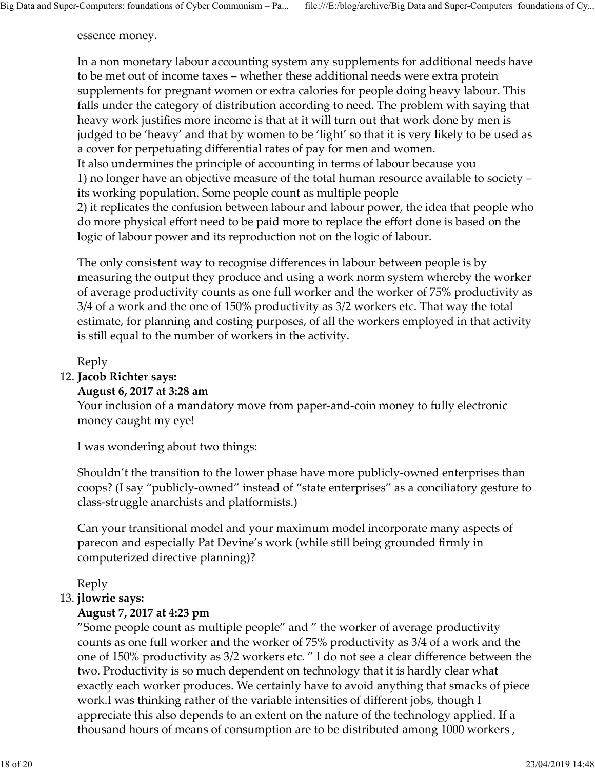#### essence money.

In a non monetary labour accounting system any supplements for additional needs have to be met out of income taxes – whether these additional needs were extra protein supplements for pregnant women or extra calories for people doing heavy labour. This falls under the category of distribution according to need. The problem with saying that heavy work justifies more income is that at it will turn out that work done by men is judged to be 'heavy' and that by women to be 'light' so that it is very likely to be used as a cover for perpetuating differential rates of pay for men and women. It also undermines the principle of accounting in terms of labour because you 1) no longer have an objective measure of the total human resource available to society – its working population. Some people count as multiple people 2) it replicates the confusion between labour and labour power, the idea that people who do more physical effort need to be paid more to replace the effort done is based on the logic of labour power and its reproduction not on the logic of labour. judged to be 'heavy' and that by women to be 'light' so that it is very likely to<br>a cover for perpetuating differential rates of pay for men and women.<br>It also undermines the principle of accounting in terms of labour beca Big Data and Super-Computers: foundations of Cyber Communism – Pa... file:///E:/blog/archive/Big Data and Super-Computers foundations of Cy...<br>essence money.<br>In a non monetary labour accounting system any supplements for a

The only consistent way to recognise differences in labour between people is by measuring the output they produce and using a work norm system whereby the worker of average productivity counts as one full worker and the worker of 75% productivity as 3/4 of a work and the one of 150% productivity as 3/2 workers etc. That way the total estimate, for planning and costing purposes, of all the workers employed in that activity is still equal to the number of workers in the activity.

#### Reply

#### 12. Jacob Richter says:

#### August 6, 2017 at 3:28 am

Your inclusion of a mandatory move from paper-and-coin money to fully electronic money caught my eye!

I was wondering about two things:

Shouldn't the transition to the lower phase have more publicly-owned enterprises than coops? (I say "publicly-owned" instead of "state enterprises" as a conciliatory gesture to class-struggle anarchists and platformists.)

Can your transitional model and your maximum model incorporate many aspects of parecon and especially Pat Devine's work (while still being grounded firmly in computerized directive planning)?

Reply

#### 13. *jlowrie says:*

#### August 7, 2017 at 4:23 pm

Reply<br> **August 6, 2017 at 3:28 am**<br>
Your inclusion of a mandatory move from paper-and-coin money to ft<br>
Your inclusion of a mandatory move from paper-and-coin money to ft<br>
I was wondering about two things:<br>
Shouldn't the t "Some people count as multiple people" and " the worker of average productivity counts as one full worker and the worker of 75% productivity as 3/4 of a work and the one of 150% productivity as 3/2 workers etc. " I do not see a clear difference between the two. Productivity is so much dependent on technology that it is hardly clear what exactly each worker produces. We certainly have to avoid anything that smacks of piece work.I was thinking rather of the variable intensities of different jobs, though I appreciate this also depends to an extent on the nature of the technology applied. If a thousand hours of means of consumption are to be distributed among 1000 workers , Can your transitional model and your maximum model incorporate many aspects of<br>parecon and especially Pat Devine's work (while still being grounded firmly in<br>computerized directive planning)?<br>Reply<br>Reply<br>Taugust 7, 2017 a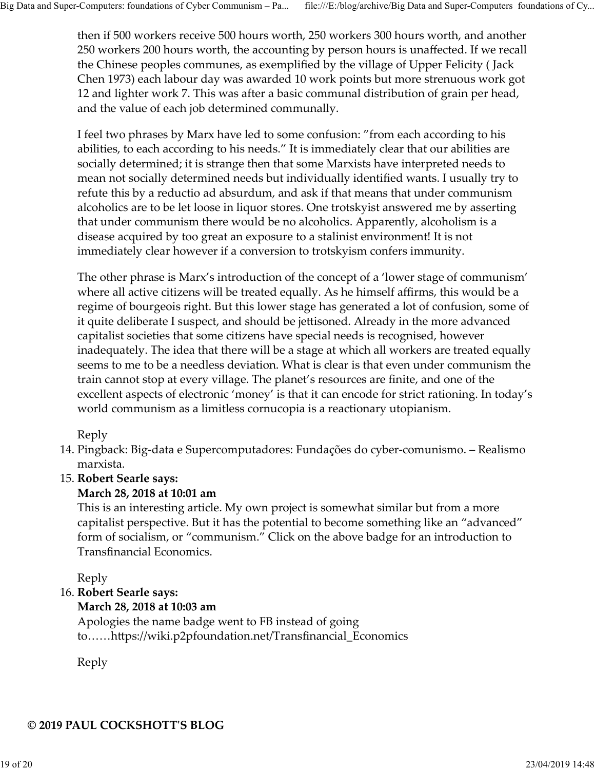then if 500 workers receive 500 hours worth, 250 workers 300 hours worth, and another 250 workers 200 hours worth, the accounting by person hours is unaffected. If we recall the Chinese peoples communes, as exemplified by the village of Upper Felicity ( Jack Chen 1973) each labour day was awarded 10 work points but more strenuous work got 12 and lighter work 7. This was after a basic communal distribution of grain per head, and the value of each job determined communally. Big Data and Super-Computers: foundations of Cyber Communism – Pa... file:///E:/blog/archive/Big Data and Super-Computers foundations of Cy...<br>then if 500 workers receive 500 hours worth, 250 workers 300 hours worth, and a

> I feel two phrases by Marx have led to some confusion: "from each according to his abilities, to each according to his needs." It is immediately clear that our abilities are socially determined; it is strange then that some Marxists have interpreted needs to mean not socially determined needs but individually identified wants. I usually try to refute this by a reductio ad absurdum, and ask if that means that under communism alcoholics are to be let loose in liquor stores. One trotskyist answered me by asserting that under communism there would be no alcoholics. Apparently, alcoholism is a disease acquired by too great an exposure to a stalinist environment! It is not immediately clear however if a conversion to trotskyism confers immunity.

The other phrase is Marx's introduction of the concept of a 'lower stage of communism' where all active citizens will be treated equally. As he himself affirms, this would be a regime of bourgeois right. But this lower stage has generated a lot of confusion, some of it quite deliberate I suspect, and should be jettisoned. Already in the more advanced capitalist societies that some citizens have special needs is recognised, however inadequately. The idea that there will be a stage at which all workers are treated equally seems to me to be a needless deviation. What is clear is that even under communism the train cannot stop at every village. The planet's resources are finite, and one of the excellent aspects of electronic 'money' is that it can encode for strict rationing. In today's world communism as a limitless cornucopia is a reactionary utopianism. disease acquired by too great an exposure to a stalinist environment! It is not<br>immediately clear however if a conversion to trotskyism confers immunity.<br>The other phrase is Marx's introduction of the concept of a 'lower s madequately. The idea that there will be a stage at which all workers are treases<br>eems to me to be a needless deviation. What is clear is that even under comination<br>train cannot stop at every village. The planet's resource

Reply

Pingback: Big-data e Supercomputadores: Fundações do cyber-comunismo. – Realismo 14. marxista.

#### 15. Robert Searle says:

#### March 28, 2018 at 10:01 am

This is an interesting article. My own project is somewhat similar but from a more capitalist perspective. But it has the potential to become something like an "advanced" form of socialism, or "communism." Click on the above badge for an introduction to Transfinancial Economics. capitalist perspective. But it has the potential to become something like an "advanced"<br>corpitalist perspective. But it has the potential to become something like an "advanced"<br>form of socialism, or "communism." Click on t

Reply

#### 16. Robert Searle says:

#### March 28, 2018 at 10:03 am

Apologies the name badge went to FB instead of going to......https://wiki.p2pfoundation.net/Transfinancial\_Economics

Reply